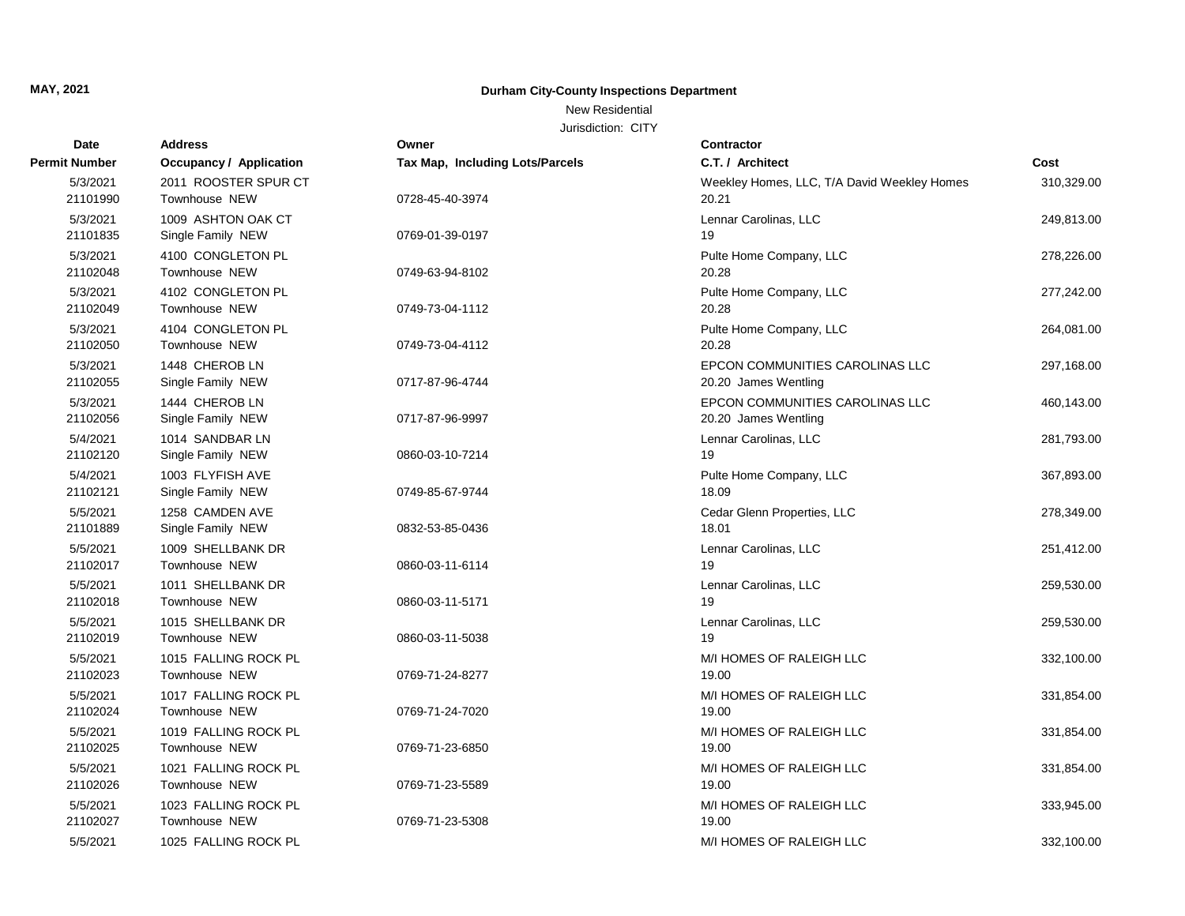## New Residential

| <b>Date</b>          | <b>Address</b>                          | Owner                                  | <b>Contractor</b>                                       |            |
|----------------------|-----------------------------------------|----------------------------------------|---------------------------------------------------------|------------|
| <b>Permit Number</b> | <b>Occupancy / Application</b>          | <b>Tax Map, Including Lots/Parcels</b> | C.T. / Architect                                        | Cost       |
| 5/3/2021<br>21101990 | 2011 ROOSTER SPUR CT<br>Townhouse NEW   | 0728-45-40-3974                        | Weekley Homes, LLC, T/A David Weekley Homes<br>20.21    | 310,329.00 |
| 5/3/2021<br>21101835 | 1009 ASHTON OAK CT<br>Single Family NEW | 0769-01-39-0197                        | Lennar Carolinas, LLC<br>19                             | 249,813.00 |
| 5/3/2021<br>21102048 | 4100 CONGLETON PL<br>Townhouse NEW      | 0749-63-94-8102                        | Pulte Home Company, LLC<br>20.28                        | 278,226.00 |
| 5/3/2021<br>21102049 | 4102 CONGLETON PL<br>Townhouse NEW      | 0749-73-04-1112                        | Pulte Home Company, LLC<br>20.28                        | 277,242.00 |
| 5/3/2021<br>21102050 | 4104 CONGLETON PL<br>Townhouse NEW      | 0749-73-04-4112                        | Pulte Home Company, LLC<br>20.28                        | 264,081.00 |
| 5/3/2021<br>21102055 | 1448 CHEROB LN<br>Single Family NEW     | 0717-87-96-4744                        | EPCON COMMUNITIES CAROLINAS LLC<br>20.20 James Wentling | 297,168.00 |
| 5/3/2021<br>21102056 | 1444 CHEROB LN<br>Single Family NEW     | 0717-87-96-9997                        | EPCON COMMUNITIES CAROLINAS LLC<br>20.20 James Wentling | 460,143.00 |
| 5/4/2021<br>21102120 | 1014 SANDBAR LN<br>Single Family NEW    | 0860-03-10-7214                        | Lennar Carolinas, LLC<br>19                             | 281,793.00 |
| 5/4/2021<br>21102121 | 1003 FLYFISH AVE<br>Single Family NEW   | 0749-85-67-9744                        | Pulte Home Company, LLC<br>18.09                        | 367,893.00 |
| 5/5/2021<br>21101889 | 1258 CAMDEN AVE<br>Single Family NEW    | 0832-53-85-0436                        | Cedar Glenn Properties, LLC<br>18.01                    | 278,349.00 |
| 5/5/2021<br>21102017 | 1009 SHELLBANK DR<br>Townhouse NEW      | 0860-03-11-6114                        | Lennar Carolinas, LLC<br>19                             | 251,412.00 |
| 5/5/2021<br>21102018 | 1011 SHELLBANK DR<br>Townhouse NEW      | 0860-03-11-5171                        | Lennar Carolinas, LLC<br>19                             | 259,530.00 |
| 5/5/2021<br>21102019 | 1015 SHELLBANK DR<br>Townhouse NEW      | 0860-03-11-5038                        | Lennar Carolinas, LLC<br>19                             | 259,530.00 |
| 5/5/2021<br>21102023 | 1015 FALLING ROCK PL<br>Townhouse NEW   | 0769-71-24-8277                        | M/I HOMES OF RALEIGH LLC<br>19.00                       | 332,100.00 |
| 5/5/2021<br>21102024 | 1017 FALLING ROCK PL<br>Townhouse NEW   | 0769-71-24-7020                        | M/I HOMES OF RALEIGH LLC<br>19.00                       | 331,854.00 |
| 5/5/2021<br>21102025 | 1019 FALLING ROCK PL<br>Townhouse NEW   | 0769-71-23-6850                        | M/I HOMES OF RALEIGH LLC<br>19.00                       | 331,854.00 |
| 5/5/2021<br>21102026 | 1021 FALLING ROCK PL<br>Townhouse NEW   | 0769-71-23-5589                        | M/I HOMES OF RALEIGH LLC<br>19.00                       | 331,854.00 |
| 5/5/2021<br>21102027 | 1023 FALLING ROCK PL<br>Townhouse NEW   | 0769-71-23-5308                        | M/I HOMES OF RALEIGH LLC<br>19.00                       | 333,945.00 |
| 5/5/2021             | 1025 FALLING ROCK PL                    |                                        | M/I HOMES OF RALEIGH LLC                                | 332,100.00 |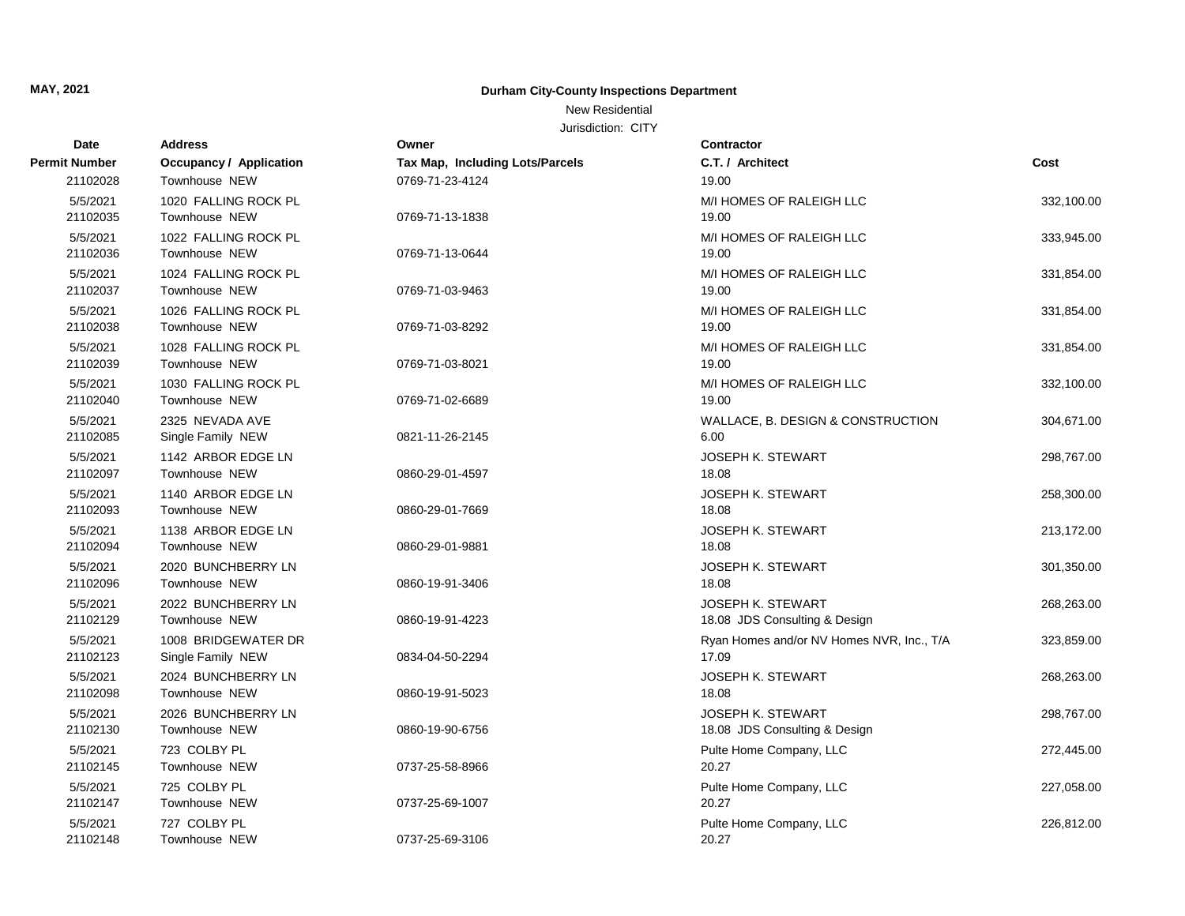### New Residential

| <b>Date</b>          | <b>Address</b>                           | Owner                           | <b>Contractor</b>                                         |            |
|----------------------|------------------------------------------|---------------------------------|-----------------------------------------------------------|------------|
| <b>Permit Number</b> | <b>Occupancy / Application</b>           | Tax Map, Including Lots/Parcels | C.T. / Architect                                          | Cost       |
| 21102028             | Townhouse NEW                            | 0769-71-23-4124                 | 19.00                                                     |            |
| 5/5/2021<br>21102035 | 1020 FALLING ROCK PL<br>Townhouse NEW    | 0769-71-13-1838                 | M/I HOMES OF RALEIGH LLC<br>19.00                         | 332,100.00 |
| 5/5/2021<br>21102036 | 1022 FALLING ROCK PL<br>Townhouse NEW    | 0769-71-13-0644                 | M/I HOMES OF RALEIGH LLC<br>19.00                         | 333,945.00 |
| 5/5/2021<br>21102037 | 1024 FALLING ROCK PL<br>Townhouse NEW    | 0769-71-03-9463                 | M/I HOMES OF RALEIGH LLC<br>19.00                         | 331,854.00 |
| 5/5/2021<br>21102038 | 1026 FALLING ROCK PL<br>Townhouse NEW    | 0769-71-03-8292                 | M/I HOMES OF RALEIGH LLC<br>19.00                         | 331,854.00 |
| 5/5/2021<br>21102039 | 1028 FALLING ROCK PL<br>Townhouse NEW    | 0769-71-03-8021                 | M/I HOMES OF RALEIGH LLC<br>19.00                         | 331,854.00 |
| 5/5/2021<br>21102040 | 1030 FALLING ROCK PL<br>Townhouse NEW    | 0769-71-02-6689                 | M/I HOMES OF RALEIGH LLC<br>19.00                         | 332,100.00 |
| 5/5/2021<br>21102085 | 2325 NEVADA AVE<br>Single Family NEW     | 0821-11-26-2145                 | WALLACE, B. DESIGN & CONSTRUCTION<br>6.00                 | 304,671.00 |
| 5/5/2021<br>21102097 | 1142 ARBOR EDGE LN<br>Townhouse NEW      | 0860-29-01-4597                 | <b>JOSEPH K. STEWART</b><br>18.08                         | 298,767.00 |
| 5/5/2021<br>21102093 | 1140 ARBOR EDGE LN<br>Townhouse NEW      | 0860-29-01-7669                 | <b>JOSEPH K. STEWART</b><br>18.08                         | 258,300.00 |
| 5/5/2021<br>21102094 | 1138 ARBOR EDGE LN<br>Townhouse NEW      | 0860-29-01-9881                 | <b>JOSEPH K. STEWART</b><br>18.08                         | 213,172.00 |
| 5/5/2021<br>21102096 | 2020 BUNCHBERRY LN<br>Townhouse NEW      | 0860-19-91-3406                 | JOSEPH K. STEWART<br>18.08                                | 301,350.00 |
| 5/5/2021<br>21102129 | 2022 BUNCHBERRY LN<br>Townhouse NEW      | 0860-19-91-4223                 | <b>JOSEPH K. STEWART</b><br>18.08 JDS Consulting & Design | 268,263.00 |
| 5/5/2021<br>21102123 | 1008 BRIDGEWATER DR<br>Single Family NEW | 0834-04-50-2294                 | Ryan Homes and/or NV Homes NVR, Inc., T/A<br>17.09        | 323,859.00 |
| 5/5/2021<br>21102098 | 2024 BUNCHBERRY LN<br>Townhouse NEW      | 0860-19-91-5023                 | JOSEPH K. STEWART<br>18.08                                | 268,263.00 |
| 5/5/2021<br>21102130 | 2026 BUNCHBERRY LN<br>Townhouse NEW      | 0860-19-90-6756                 | <b>JOSEPH K. STEWART</b><br>18.08 JDS Consulting & Design | 298,767.00 |
| 5/5/2021<br>21102145 | 723 COLBY PL<br>Townhouse NEW            | 0737-25-58-8966                 | Pulte Home Company, LLC<br>20.27                          | 272,445.00 |
| 5/5/2021<br>21102147 | 725 COLBY PL<br>Townhouse NEW            | 0737-25-69-1007                 | Pulte Home Company, LLC<br>20.27                          | 227,058.00 |
| 5/5/2021<br>21102148 | 727 COLBY PL<br>Townhouse NEW            | 0737-25-69-3106                 | Pulte Home Company, LLC<br>20.27                          | 226,812.00 |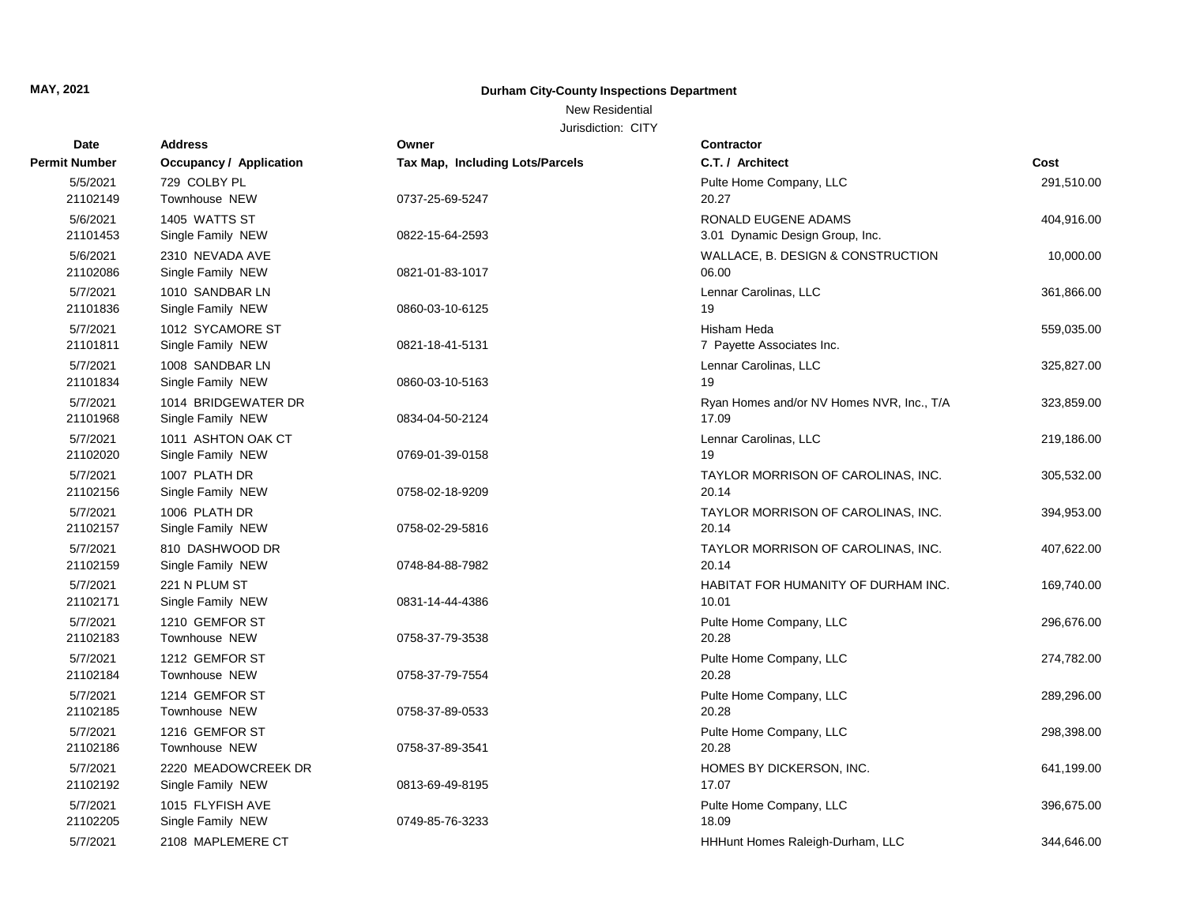### New Residential

| Date                 | <b>Address</b>                           | Owner                           | <b>Contractor</b>                                      |            |
|----------------------|------------------------------------------|---------------------------------|--------------------------------------------------------|------------|
| <b>Permit Number</b> | Occupancy / Application                  | Tax Map, Including Lots/Parcels | C.T. / Architect                                       | Cost       |
| 5/5/2021<br>21102149 | 729 COLBY PL<br>Townhouse NEW            | 0737-25-69-5247                 | Pulte Home Company, LLC<br>20.27                       | 291,510.00 |
| 5/6/2021<br>21101453 | 1405 WATTS ST<br>Single Family NEW       | 0822-15-64-2593                 | RONALD EUGENE ADAMS<br>3.01 Dynamic Design Group, Inc. | 404,916.00 |
| 5/6/2021<br>21102086 | 2310 NEVADA AVE<br>Single Family NEW     | 0821-01-83-1017                 | WALLACE, B. DESIGN & CONSTRUCTION<br>06.00             | 10,000.00  |
| 5/7/2021<br>21101836 | 1010 SANDBAR LN<br>Single Family NEW     | 0860-03-10-6125                 | Lennar Carolinas, LLC<br>19                            | 361,866.00 |
| 5/7/2021<br>21101811 | 1012 SYCAMORE ST<br>Single Family NEW    | 0821-18-41-5131                 | Hisham Heda<br>7 Payette Associates Inc.               | 559,035.00 |
| 5/7/2021<br>21101834 | 1008 SANDBAR LN<br>Single Family NEW     | 0860-03-10-5163                 | Lennar Carolinas, LLC<br>19                            | 325,827.00 |
| 5/7/2021<br>21101968 | 1014 BRIDGEWATER DR<br>Single Family NEW | 0834-04-50-2124                 | Ryan Homes and/or NV Homes NVR, Inc., T/A<br>17.09     | 323,859.00 |
| 5/7/2021<br>21102020 | 1011 ASHTON OAK CT<br>Single Family NEW  | 0769-01-39-0158                 | Lennar Carolinas, LLC<br>19                            | 219,186.00 |
| 5/7/2021<br>21102156 | 1007 PLATH DR<br>Single Family NEW       | 0758-02-18-9209                 | TAYLOR MORRISON OF CAROLINAS, INC.<br>20.14            | 305,532.00 |
| 5/7/2021<br>21102157 | 1006 PLATH DR<br>Single Family NEW       | 0758-02-29-5816                 | TAYLOR MORRISON OF CAROLINAS, INC.<br>20.14            | 394,953.00 |
| 5/7/2021<br>21102159 | 810 DASHWOOD DR<br>Single Family NEW     | 0748-84-88-7982                 | TAYLOR MORRISON OF CAROLINAS, INC.<br>20.14            | 407,622.00 |
| 5/7/2021<br>21102171 | 221 N PLUM ST<br>Single Family NEW       | 0831-14-44-4386                 | HABITAT FOR HUMANITY OF DURHAM INC.<br>10.01           | 169,740.00 |
| 5/7/2021<br>21102183 | 1210 GEMFOR ST<br>Townhouse NEW          | 0758-37-79-3538                 | Pulte Home Company, LLC<br>20.28                       | 296,676.00 |
| 5/7/2021<br>21102184 | 1212 GEMFOR ST<br>Townhouse NEW          | 0758-37-79-7554                 | Pulte Home Company, LLC<br>20.28                       | 274,782.00 |
| 5/7/2021<br>21102185 | 1214 GEMFOR ST<br>Townhouse NEW          | 0758-37-89-0533                 | Pulte Home Company, LLC<br>20.28                       | 289,296.00 |
| 5/7/2021<br>21102186 | 1216 GEMFOR ST<br>Townhouse NEW          | 0758-37-89-3541                 | Pulte Home Company, LLC<br>20.28                       | 298,398.00 |
| 5/7/2021<br>21102192 | 2220 MEADOWCREEK DR<br>Single Family NEW | 0813-69-49-8195                 | HOMES BY DICKERSON, INC.<br>17.07                      | 641,199.00 |
| 5/7/2021<br>21102205 | 1015 FLYFISH AVE<br>Single Family NEW    | 0749-85-76-3233                 | Pulte Home Company, LLC<br>18.09                       | 396,675.00 |
| 5/7/2021             | 2108 MAPLEMERE CT                        |                                 | HHHunt Homes Raleigh-Durham, LLC                       | 344,646.00 |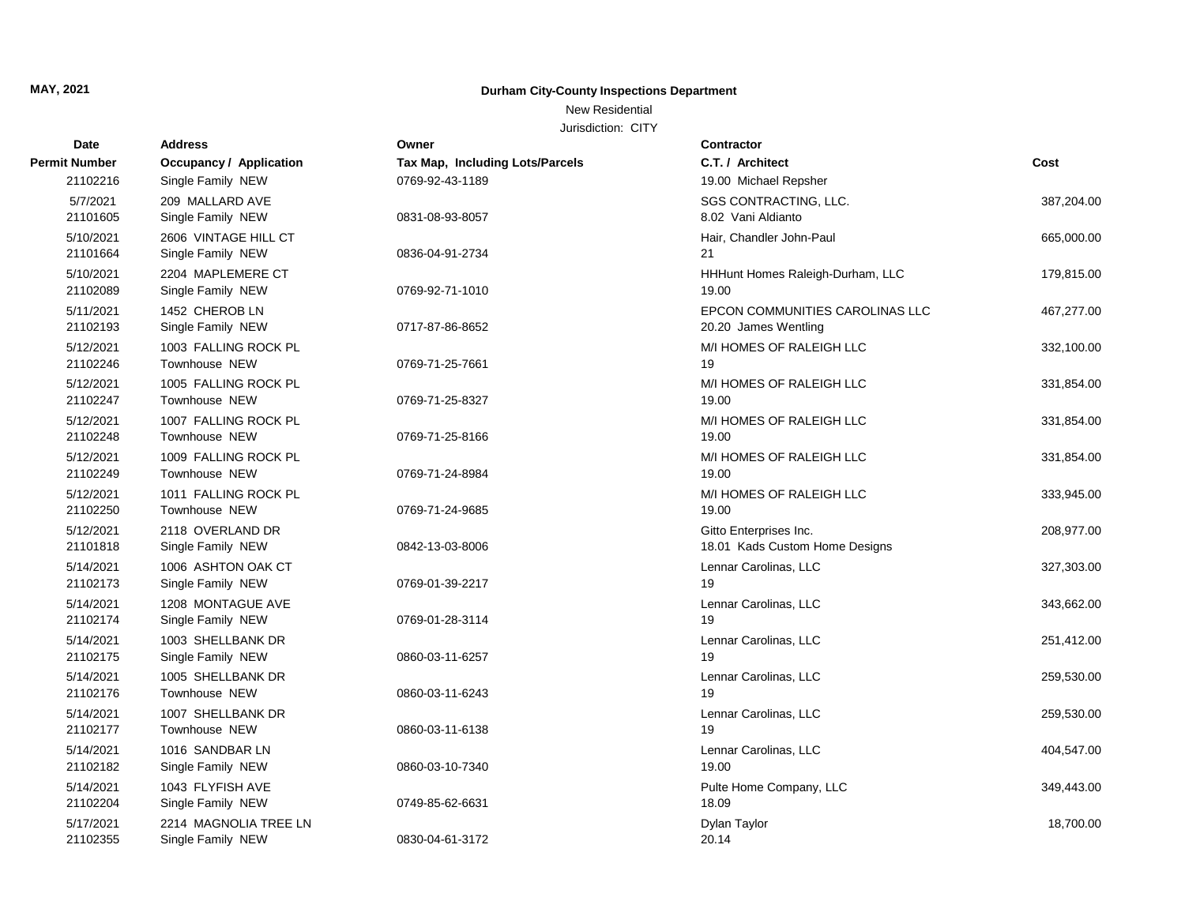## New Residential

| Date                  | <b>Address</b>                             | Owner                           | <b>Contractor</b>                                        |            |
|-----------------------|--------------------------------------------|---------------------------------|----------------------------------------------------------|------------|
| <b>Permit Number</b>  | <b>Occupancy / Application</b>             | Tax Map, Including Lots/Parcels | C.T. / Architect                                         | Cost       |
| 21102216              | Single Family NEW                          | 0769-92-43-1189                 | 19.00 Michael Repsher                                    |            |
| 5/7/2021<br>21101605  | 209 MALLARD AVE<br>Single Family NEW       | 0831-08-93-8057                 | SGS CONTRACTING, LLC.<br>8.02 Vani Aldianto              | 387,204.00 |
| 5/10/2021<br>21101664 | 2606 VINTAGE HILL CT<br>Single Family NEW  | 0836-04-91-2734                 | Hair, Chandler John-Paul<br>21                           | 665,000.00 |
| 5/10/2021<br>21102089 | 2204 MAPLEMERE CT<br>Single Family NEW     | 0769-92-71-1010                 | HHHunt Homes Raleigh-Durham, LLC<br>19.00                | 179,815.00 |
| 5/11/2021<br>21102193 | 1452 CHEROB LN<br>Single Family NEW        | 0717-87-86-8652                 | EPCON COMMUNITIES CAROLINAS LLC<br>20.20 James Wentling  | 467,277.00 |
| 5/12/2021<br>21102246 | 1003 FALLING ROCK PL<br>Townhouse NEW      | 0769-71-25-7661                 | M/I HOMES OF RALEIGH LLC<br>19                           | 332,100.00 |
| 5/12/2021<br>21102247 | 1005 FALLING ROCK PL<br>Townhouse NEW      | 0769-71-25-8327                 | M/I HOMES OF RALEIGH LLC<br>19.00                        | 331,854.00 |
| 5/12/2021<br>21102248 | 1007 FALLING ROCK PL<br>Townhouse NEW      | 0769-71-25-8166                 | M/I HOMES OF RALEIGH LLC<br>19.00                        | 331,854.00 |
| 5/12/2021<br>21102249 | 1009 FALLING ROCK PL<br>Townhouse NEW      | 0769-71-24-8984                 | M/I HOMES OF RALEIGH LLC<br>19.00                        | 331,854.00 |
| 5/12/2021<br>21102250 | 1011 FALLING ROCK PL<br>Townhouse NEW      | 0769-71-24-9685                 | M/I HOMES OF RALEIGH LLC<br>19.00                        | 333,945.00 |
| 5/12/2021<br>21101818 | 2118 OVERLAND DR<br>Single Family NEW      | 0842-13-03-8006                 | Gitto Enterprises Inc.<br>18.01 Kads Custom Home Designs | 208,977.00 |
| 5/14/2021<br>21102173 | 1006 ASHTON OAK CT<br>Single Family NEW    | 0769-01-39-2217                 | Lennar Carolinas, LLC<br>19                              | 327,303.00 |
| 5/14/2021<br>21102174 | 1208 MONTAGUE AVE<br>Single Family NEW     | 0769-01-28-3114                 | Lennar Carolinas, LLC<br>19                              | 343,662.00 |
| 5/14/2021<br>21102175 | 1003 SHELLBANK DR<br>Single Family NEW     | 0860-03-11-6257                 | Lennar Carolinas, LLC<br>19                              | 251,412.00 |
| 5/14/2021<br>21102176 | 1005 SHELLBANK DR<br>Townhouse NEW         | 0860-03-11-6243                 | Lennar Carolinas, LLC<br>19                              | 259,530.00 |
| 5/14/2021<br>21102177 | 1007 SHELLBANK DR<br>Townhouse NEW         | 0860-03-11-6138                 | Lennar Carolinas, LLC<br>19                              | 259,530.00 |
| 5/14/2021<br>21102182 | 1016 SANDBAR LN<br>Single Family NEW       | 0860-03-10-7340                 | Lennar Carolinas, LLC<br>19.00                           | 404,547.00 |
| 5/14/2021<br>21102204 | 1043 FLYFISH AVE<br>Single Family NEW      | 0749-85-62-6631                 | Pulte Home Company, LLC<br>18.09                         | 349,443.00 |
| 5/17/2021<br>21102355 | 2214 MAGNOLIA TREE LN<br>Single Family NEW | 0830-04-61-3172                 | Dylan Taylor<br>20.14                                    | 18,700.00  |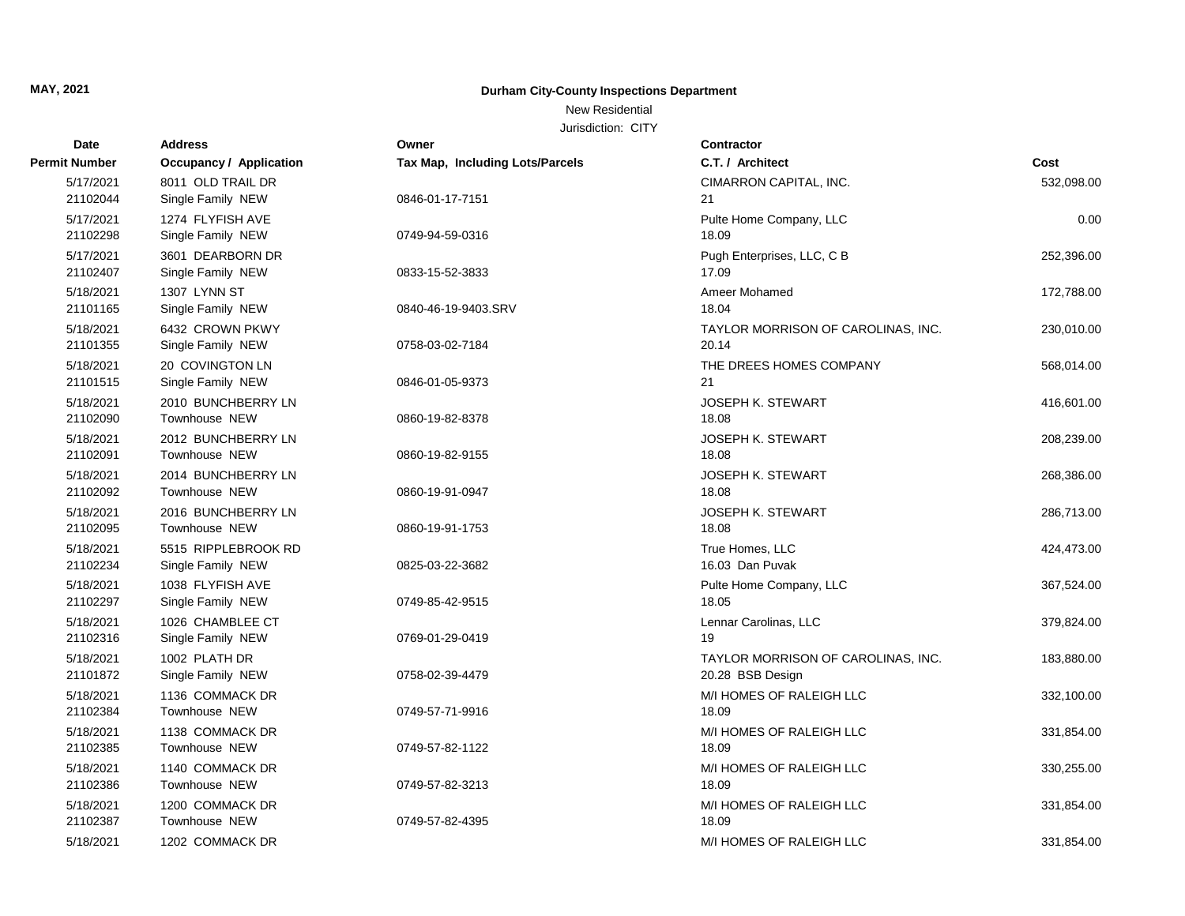### New Residential

| Date                  | <b>Address</b>                      | Owner                                  | <b>Contractor</b>                  |            |
|-----------------------|-------------------------------------|----------------------------------------|------------------------------------|------------|
| <b>Permit Number</b>  | <b>Occupancy / Application</b>      | <b>Tax Map, Including Lots/Parcels</b> | C.T. / Architect                   | Cost       |
| 5/17/2021             | 8011 OLD TRAIL DR                   |                                        | CIMARRON CAPITAL, INC.             | 532,098.00 |
| 21102044              | Single Family NEW                   | 0846-01-17-7151                        | 21                                 |            |
| 5/17/2021             | 1274 FLYFISH AVE                    |                                        | Pulte Home Company, LLC            | 0.00       |
| 21102298              | Single Family NEW                   | 0749-94-59-0316                        | 18.09                              |            |
| 5/17/2021             | 3601 DEARBORN DR                    |                                        | Pugh Enterprises, LLC, C B         | 252,396.00 |
| 21102407              | Single Family NEW                   | 0833-15-52-3833                        | 17.09                              |            |
| 5/18/2021             | 1307 LYNN ST                        |                                        | Ameer Mohamed                      | 172,788.00 |
| 21101165              | Single Family NEW                   | 0840-46-19-9403.SRV                    | 18.04                              |            |
| 5/18/2021             | 6432 CROWN PKWY                     |                                        | TAYLOR MORRISON OF CAROLINAS, INC. | 230,010.00 |
| 21101355              | Single Family NEW                   | 0758-03-02-7184                        | 20.14                              |            |
| 5/18/2021             | 20 COVINGTON LN                     |                                        | THE DREES HOMES COMPANY            | 568,014.00 |
| 21101515              | Single Family NEW                   | 0846-01-05-9373                        | 21                                 |            |
| 5/18/2021             | 2010 BUNCHBERRY LN                  |                                        | <b>JOSEPH K. STEWART</b>           | 416,601.00 |
| 21102090              | Townhouse NEW                       | 0860-19-82-8378                        | 18.08                              |            |
| 5/18/2021<br>21102091 | 2012 BUNCHBERRY LN                  |                                        | <b>JOSEPH K. STEWART</b><br>18.08  | 208,239.00 |
|                       | Townhouse NEW                       | 0860-19-82-9155                        |                                    |            |
| 5/18/2021<br>21102092 | 2014 BUNCHBERRY LN<br>Townhouse NEW | 0860-19-91-0947                        | <b>JOSEPH K. STEWART</b><br>18.08  | 268,386.00 |
|                       |                                     |                                        |                                    |            |
| 5/18/2021<br>21102095 | 2016 BUNCHBERRY LN<br>Townhouse NEW | 0860-19-91-1753                        | <b>JOSEPH K. STEWART</b><br>18.08  | 286,713.00 |
| 5/18/2021             | 5515 RIPPLEBROOK RD                 |                                        | True Homes, LLC                    | 424,473.00 |
| 21102234              | Single Family NEW                   | 0825-03-22-3682                        | 16.03 Dan Puvak                    |            |
| 5/18/2021             | 1038 FLYFISH AVE                    |                                        | Pulte Home Company, LLC            | 367,524.00 |
| 21102297              | Single Family NEW                   | 0749-85-42-9515                        | 18.05                              |            |
| 5/18/2021             | 1026 CHAMBLEE CT                    |                                        | Lennar Carolinas, LLC              | 379,824.00 |
| 21102316              | Single Family NEW                   | 0769-01-29-0419                        | 19                                 |            |
| 5/18/2021             | 1002 PLATH DR                       |                                        | TAYLOR MORRISON OF CAROLINAS, INC. | 183,880.00 |
| 21101872              | Single Family NEW                   | 0758-02-39-4479                        | 20.28 BSB Design                   |            |
| 5/18/2021             | 1136 COMMACK DR                     |                                        | M/I HOMES OF RALEIGH LLC           | 332,100.00 |
| 21102384              | Townhouse NEW                       | 0749-57-71-9916                        | 18.09                              |            |
| 5/18/2021             | 1138 COMMACK DR                     |                                        | M/I HOMES OF RALEIGH LLC           | 331,854.00 |
| 21102385              | Townhouse NEW                       | 0749-57-82-1122                        | 18.09                              |            |
| 5/18/2021             | 1140 COMMACK DR                     |                                        | M/I HOMES OF RALEIGH LLC           | 330,255.00 |
| 21102386              | Townhouse NEW                       | 0749-57-82-3213                        | 18.09                              |            |
| 5/18/2021             | 1200 COMMACK DR                     |                                        | M/I HOMES OF RALEIGH LLC           | 331,854.00 |
| 21102387              | Townhouse NEW                       | 0749-57-82-4395                        | 18.09                              |            |
| 5/18/2021             | 1202 COMMACK DR                     |                                        | M/I HOMES OF RALEIGH LLC           | 331,854.00 |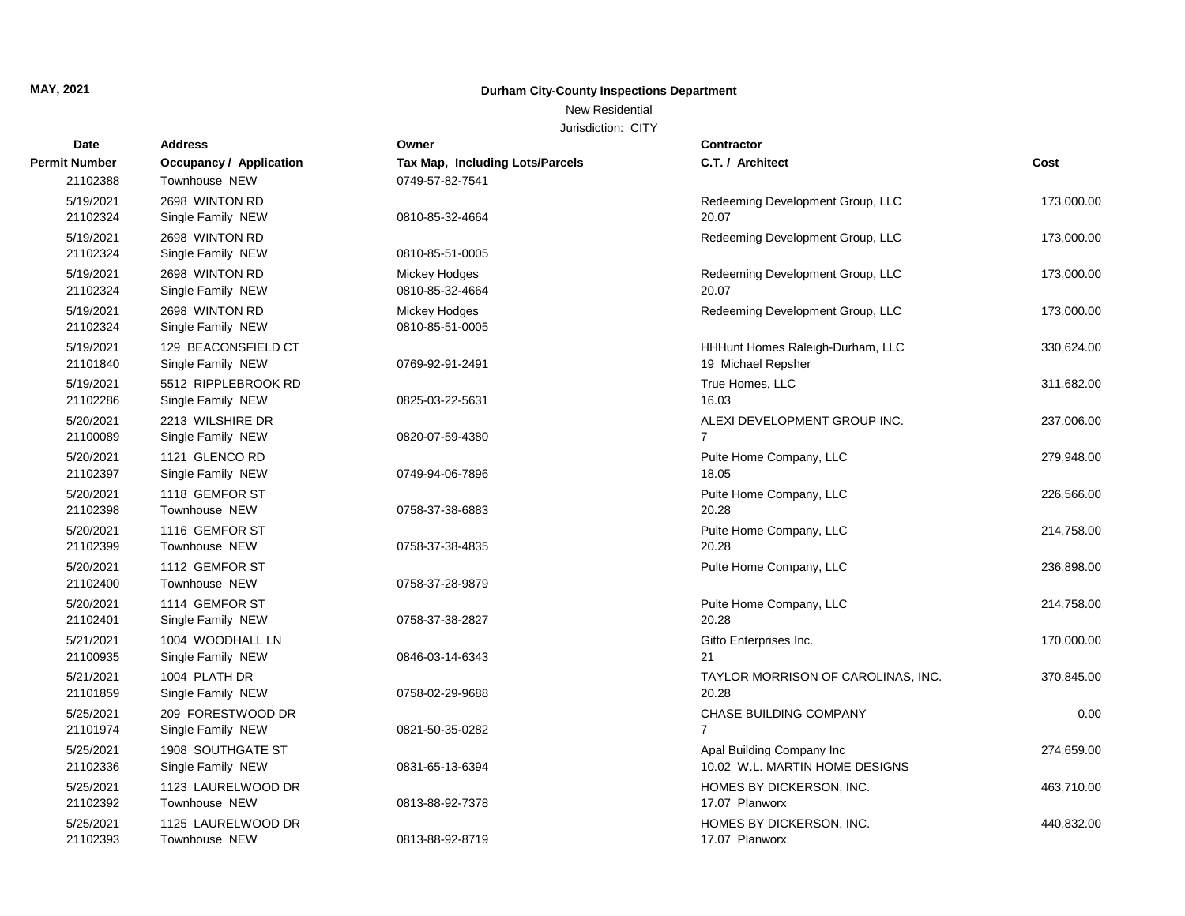## New Residential

| Date                 | <b>Address</b>          | Owner                                  | Contractor                         |            |
|----------------------|-------------------------|----------------------------------------|------------------------------------|------------|
| <b>Permit Number</b> | Occupancy / Application | <b>Tax Map, Including Lots/Parcels</b> | C.T. / Architect                   | Cost       |
| 21102388             | Townhouse NEW           | 0749-57-82-7541                        |                                    |            |
| 5/19/2021            | 2698 WINTON RD          |                                        | Redeeming Development Group, LLC   | 173,000.00 |
| 21102324             | Single Family NEW       | 0810-85-32-4664                        | 20.07                              |            |
| 5/19/2021            | 2698 WINTON RD          |                                        | Redeeming Development Group, LLC   | 173,000.00 |
| 21102324             | Single Family NEW       | 0810-85-51-0005                        |                                    |            |
| 5/19/2021            | 2698 WINTON RD          | Mickey Hodges                          | Redeeming Development Group, LLC   | 173,000.00 |
| 21102324             | Single Family NEW       | 0810-85-32-4664                        | 20.07                              |            |
| 5/19/2021            | 2698 WINTON RD          | Mickey Hodges                          | Redeeming Development Group, LLC   | 173,000.00 |
| 21102324             | Single Family NEW       | 0810-85-51-0005                        |                                    |            |
| 5/19/2021            | 129 BEACONSFIELD CT     |                                        | HHHunt Homes Raleigh-Durham, LLC   | 330,624.00 |
| 21101840             | Single Family NEW       | 0769-92-91-2491                        | 19 Michael Repsher                 |            |
| 5/19/2021            | 5512 RIPPLEBROOK RD     |                                        | True Homes, LLC                    | 311,682.00 |
| 21102286             | Single Family NEW       | 0825-03-22-5631                        | 16.03                              |            |
| 5/20/2021            | 2213 WILSHIRE DR        |                                        | ALEXI DEVELOPMENT GROUP INC.       | 237,006.00 |
| 21100089             | Single Family NEW       | 0820-07-59-4380                        | $\overline{7}$                     |            |
| 5/20/2021            | 1121 GLENCO RD          |                                        | Pulte Home Company, LLC            | 279,948.00 |
| 21102397             | Single Family NEW       | 0749-94-06-7896                        | 18.05                              |            |
| 5/20/2021            | 1118 GEMFOR ST          |                                        | Pulte Home Company, LLC            | 226,566.00 |
| 21102398             | Townhouse NEW           | 0758-37-38-6883                        | 20.28                              |            |
| 5/20/2021            | 1116 GEMFOR ST          |                                        | Pulte Home Company, LLC            | 214,758.00 |
| 21102399             | Townhouse NEW           | 0758-37-38-4835                        | 20.28                              |            |
| 5/20/2021            | 1112 GEMFOR ST          |                                        | Pulte Home Company, LLC            | 236,898.00 |
| 21102400             | Townhouse NEW           | 0758-37-28-9879                        |                                    |            |
| 5/20/2021            | 1114 GEMFOR ST          |                                        | Pulte Home Company, LLC            | 214,758.00 |
| 21102401             | Single Family NEW       | 0758-37-38-2827                        | 20.28                              |            |
| 5/21/2021            | 1004 WOODHALL LN        |                                        | Gitto Enterprises Inc.             | 170,000.00 |
| 21100935             | Single Family NEW       | 0846-03-14-6343                        | 21                                 |            |
| 5/21/2021            | 1004 PLATH DR           |                                        | TAYLOR MORRISON OF CAROLINAS, INC. | 370,845.00 |
| 21101859             | Single Family NEW       | 0758-02-29-9688                        | 20.28                              |            |
| 5/25/2021            | 209 FORESTWOOD DR       |                                        | CHASE BUILDING COMPANY             | 0.00       |
| 21101974             | Single Family NEW       | 0821-50-35-0282                        | $\overline{7}$                     |            |
| 5/25/2021            | 1908 SOUTHGATE ST       |                                        | Apal Building Company Inc          | 274,659.00 |
| 21102336             | Single Family NEW       | 0831-65-13-6394                        | 10.02 W.L. MARTIN HOME DESIGNS     |            |
| 5/25/2021            | 1123 LAURELWOOD DR      |                                        | HOMES BY DICKERSON, INC.           | 463,710.00 |
| 21102392             | Townhouse NEW           | 0813-88-92-7378                        | 17.07 Planworx                     |            |
| 5/25/2021            | 1125 LAURELWOOD DR      |                                        | HOMES BY DICKERSON, INC.           | 440,832.00 |
| 21102393             | Townhouse NEW           | 0813-88-92-8719                        | 17.07 Planworx                     |            |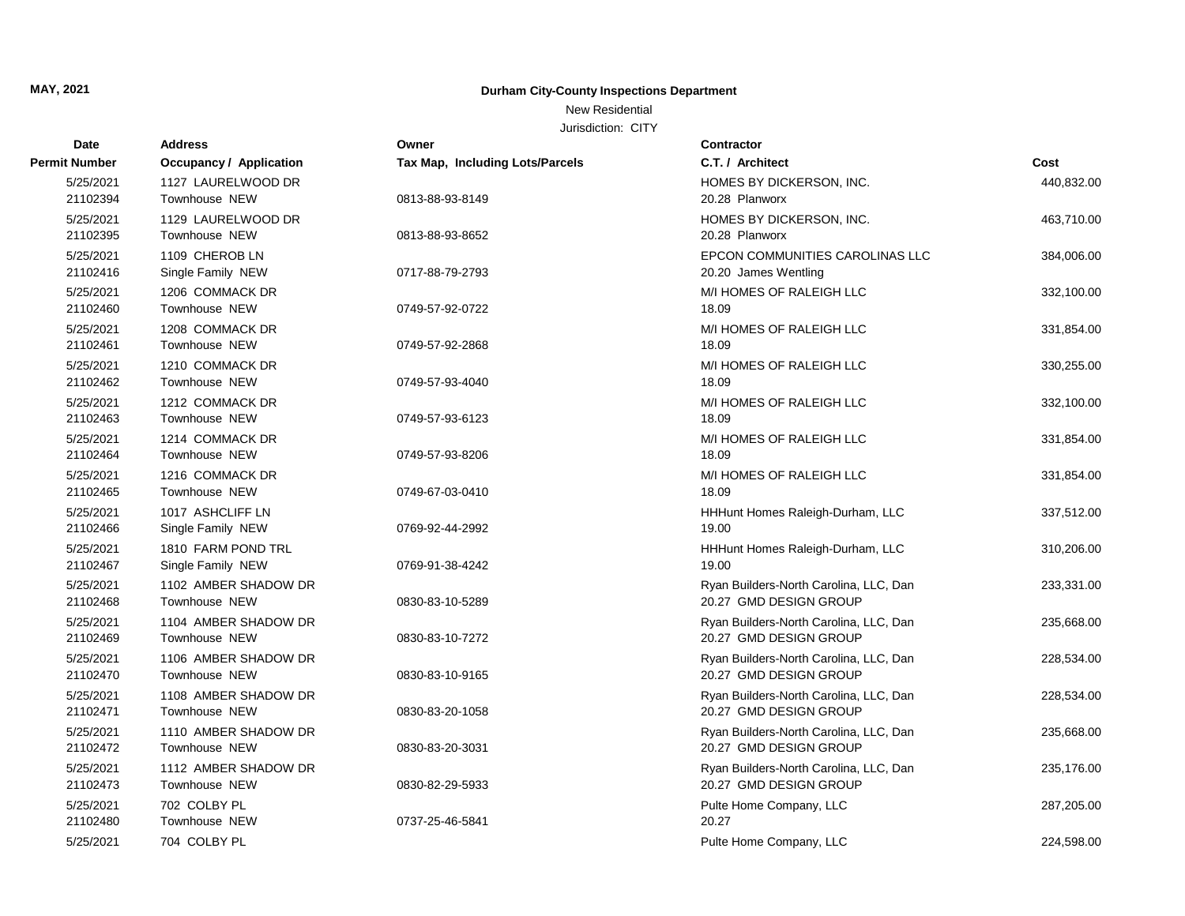## New Residential

| Date                  | <b>Address</b>                          | Owner                                  | <b>Contractor</b>                                                |            |
|-----------------------|-----------------------------------------|----------------------------------------|------------------------------------------------------------------|------------|
| Permit Number         | <b>Occupancy / Application</b>          | <b>Tax Map, Including Lots/Parcels</b> | C.T. / Architect                                                 | Cost       |
| 5/25/2021<br>21102394 | 1127 LAURELWOOD DR<br>Townhouse NEW     | 0813-88-93-8149                        | HOMES BY DICKERSON, INC.<br>20.28 Planworx                       | 440,832.00 |
| 5/25/2021<br>21102395 | 1129 LAURELWOOD DR<br>Townhouse NEW     | 0813-88-93-8652                        | HOMES BY DICKERSON, INC.<br>20.28 Planworx                       | 463,710.00 |
| 5/25/2021<br>21102416 | 1109 CHEROB LN<br>Single Family NEW     | 0717-88-79-2793                        | EPCON COMMUNITIES CAROLINAS LLC<br>20.20 James Wentling          | 384,006.00 |
| 5/25/2021<br>21102460 | 1206 COMMACK DR<br>Townhouse NEW        | 0749-57-92-0722                        | M/I HOMES OF RALEIGH LLC<br>18.09                                | 332,100.00 |
| 5/25/2021<br>21102461 | 1208 COMMACK DR<br>Townhouse NEW        | 0749-57-92-2868                        | M/I HOMES OF RALEIGH LLC<br>18.09                                | 331,854.00 |
| 5/25/2021<br>21102462 | 1210 COMMACK DR<br>Townhouse NEW        | 0749-57-93-4040                        | M/I HOMES OF RALEIGH LLC<br>18.09                                | 330,255.00 |
| 5/25/2021<br>21102463 | 1212 COMMACK DR<br>Townhouse NEW        | 0749-57-93-6123                        | M/I HOMES OF RALEIGH LLC<br>18.09                                | 332,100.00 |
| 5/25/2021<br>21102464 | 1214 COMMACK DR<br>Townhouse NEW        | 0749-57-93-8206                        | M/I HOMES OF RALEIGH LLC<br>18.09                                | 331,854.00 |
| 5/25/2021<br>21102465 | 1216 COMMACK DR<br><b>Townhouse NEW</b> | 0749-67-03-0410                        | M/I HOMES OF RALEIGH LLC<br>18.09                                | 331,854.00 |
| 5/25/2021<br>21102466 | 1017 ASHCLIFF LN<br>Single Family NEW   | 0769-92-44-2992                        | HHHunt Homes Raleigh-Durham, LLC<br>19.00                        | 337,512.00 |
| 5/25/2021<br>21102467 | 1810 FARM POND TRL<br>Single Family NEW | 0769-91-38-4242                        | HHHunt Homes Raleigh-Durham, LLC<br>19.00                        | 310,206.00 |
| 5/25/2021<br>21102468 | 1102 AMBER SHADOW DR<br>Townhouse NEW   | 0830-83-10-5289                        | Ryan Builders-North Carolina, LLC, Dan<br>20.27 GMD DESIGN GROUP | 233,331.00 |
| 5/25/2021<br>21102469 | 1104 AMBER SHADOW DR<br>Townhouse NEW   | 0830-83-10-7272                        | Ryan Builders-North Carolina, LLC, Dan<br>20.27 GMD DESIGN GROUP | 235,668.00 |
| 5/25/2021<br>21102470 | 1106 AMBER SHADOW DR<br>Townhouse NEW   | 0830-83-10-9165                        | Ryan Builders-North Carolina, LLC, Dan<br>20.27 GMD DESIGN GROUP | 228,534.00 |
| 5/25/2021<br>21102471 | 1108 AMBER SHADOW DR<br>Townhouse NEW   | 0830-83-20-1058                        | Ryan Builders-North Carolina, LLC, Dan<br>20.27 GMD DESIGN GROUP | 228,534.00 |
| 5/25/2021<br>21102472 | 1110 AMBER SHADOW DR<br>Townhouse NEW   | 0830-83-20-3031                        | Ryan Builders-North Carolina, LLC, Dan<br>20.27 GMD DESIGN GROUP | 235,668.00 |
| 5/25/2021<br>21102473 | 1112 AMBER SHADOW DR<br>Townhouse NEW   | 0830-82-29-5933                        | Ryan Builders-North Carolina, LLC, Dan<br>20.27 GMD DESIGN GROUP | 235,176.00 |
| 5/25/2021<br>21102480 | 702 COLBY PL<br>Townhouse NEW           | 0737-25-46-5841                        | Pulte Home Company, LLC<br>20.27                                 | 287,205.00 |
| 5/25/2021             | 704 COLBY PL                            |                                        | Pulte Home Company, LLC                                          | 224.598.00 |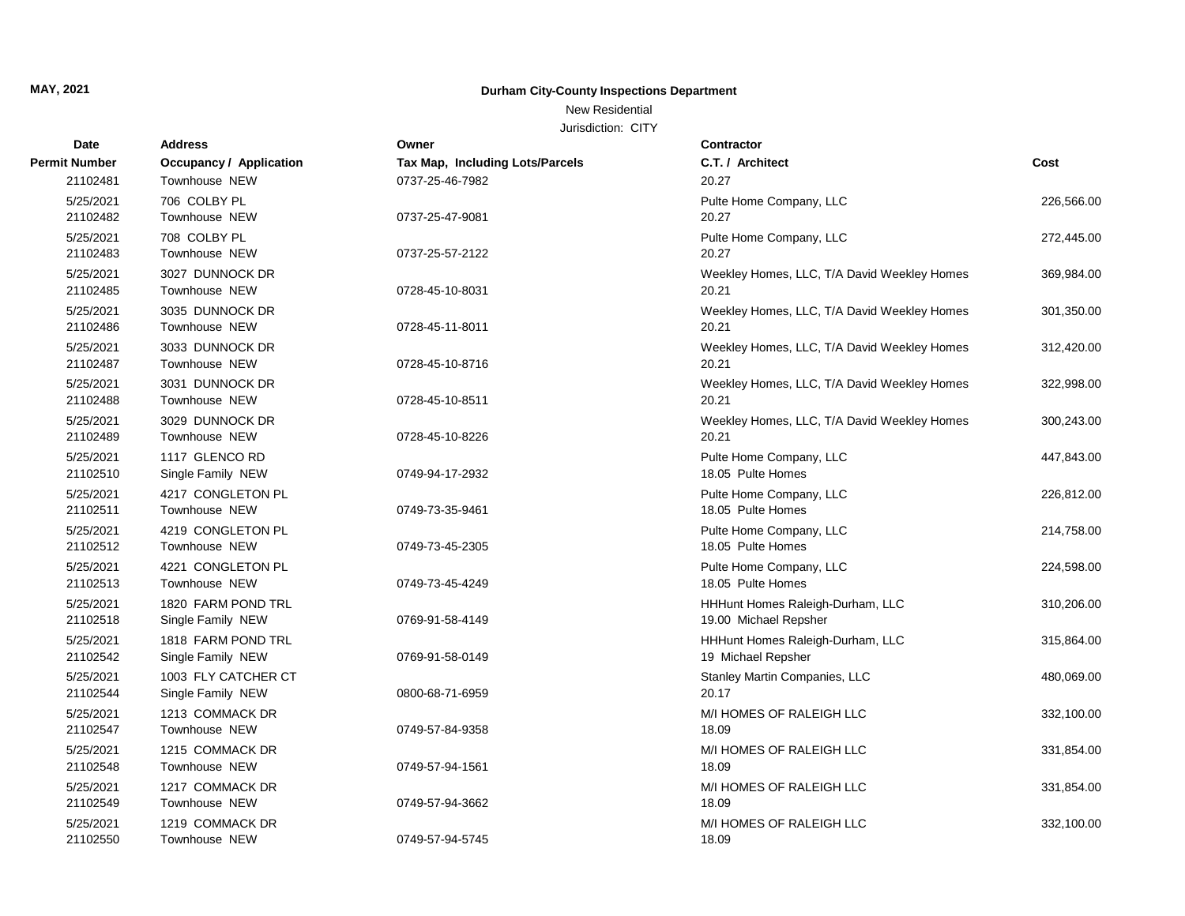## New Residential

| Date                 | <b>Address</b>                 | Owner                           | Contractor                                  |            |
|----------------------|--------------------------------|---------------------------------|---------------------------------------------|------------|
| <b>Permit Number</b> | <b>Occupancy / Application</b> | Tax Map, Including Lots/Parcels | C.T. / Architect                            | Cost       |
| 21102481             | Townhouse NEW                  | 0737-25-46-7982                 | 20.27                                       |            |
| 5/25/2021            | 706 COLBY PL                   |                                 | Pulte Home Company, LLC                     | 226,566.00 |
| 21102482             | Townhouse NEW                  | 0737-25-47-9081                 | 20.27                                       |            |
| 5/25/2021            | 708 COLBY PL                   |                                 | Pulte Home Company, LLC                     | 272,445.00 |
| 21102483             | Townhouse NEW                  | 0737-25-57-2122                 | 20.27                                       |            |
| 5/25/2021            | 3027 DUNNOCK DR                |                                 | Weekley Homes, LLC, T/A David Weekley Homes | 369,984.00 |
| 21102485             | Townhouse NEW                  | 0728-45-10-8031                 | 20.21                                       |            |
| 5/25/2021            | 3035 DUNNOCK DR                |                                 | Weekley Homes, LLC, T/A David Weekley Homes | 301,350.00 |
| 21102486             | Townhouse NEW                  | 0728-45-11-8011                 | 20.21                                       |            |
| 5/25/2021            | 3033 DUNNOCK DR                |                                 | Weekley Homes, LLC, T/A David Weekley Homes | 312,420.00 |
| 21102487             | Townhouse NEW                  | 0728-45-10-8716                 | 20.21                                       |            |
| 5/25/2021            | 3031 DUNNOCK DR                |                                 | Weekley Homes, LLC, T/A David Weekley Homes | 322,998.00 |
| 21102488             | Townhouse NEW                  | 0728-45-10-8511                 | 20.21                                       |            |
| 5/25/2021            | 3029 DUNNOCK DR                |                                 | Weekley Homes, LLC, T/A David Weekley Homes | 300,243.00 |
| 21102489             | Townhouse NEW                  | 0728-45-10-8226                 | 20.21                                       |            |
| 5/25/2021            | 1117 GLENCO RD                 |                                 | Pulte Home Company, LLC                     | 447,843.00 |
| 21102510             | Single Family NEW              | 0749-94-17-2932                 | 18.05 Pulte Homes                           |            |
| 5/25/2021            | 4217 CONGLETON PL              |                                 | Pulte Home Company, LLC                     | 226,812.00 |
| 21102511             | Townhouse NEW                  | 0749-73-35-9461                 | 18.05 Pulte Homes                           |            |
| 5/25/2021            | 4219 CONGLETON PL              |                                 | Pulte Home Company, LLC                     | 214,758.00 |
| 21102512             | Townhouse NEW                  | 0749-73-45-2305                 | 18.05 Pulte Homes                           |            |
| 5/25/2021            | 4221 CONGLETON PL              |                                 | Pulte Home Company, LLC                     | 224,598.00 |
| 21102513             | Townhouse NEW                  | 0749-73-45-4249                 | 18.05 Pulte Homes                           |            |
| 5/25/2021            | 1820 FARM POND TRL             |                                 | HHHunt Homes Raleigh-Durham, LLC            | 310,206.00 |
| 21102518             | Single Family NEW              | 0769-91-58-4149                 | 19.00 Michael Repsher                       |            |
| 5/25/2021            | 1818 FARM POND TRL             |                                 | HHHunt Homes Raleigh-Durham, LLC            | 315,864.00 |
| 21102542             | Single Family NEW              | 0769-91-58-0149                 | 19 Michael Repsher                          |            |
| 5/25/2021            | 1003 FLY CATCHER CT            |                                 | Stanley Martin Companies, LLC               | 480,069.00 |
| 21102544             | Single Family NEW              | 0800-68-71-6959                 | 20.17                                       |            |
| 5/25/2021            | 1213 COMMACK DR                |                                 | M/I HOMES OF RALEIGH LLC                    | 332,100.00 |
| 21102547             | Townhouse NEW                  | 0749-57-84-9358                 | 18.09                                       |            |
| 5/25/2021            | 1215 COMMACK DR                |                                 | M/I HOMES OF RALEIGH LLC                    | 331,854.00 |
| 21102548             | Townhouse NEW                  | 0749-57-94-1561                 | 18.09                                       |            |
| 5/25/2021            | 1217 COMMACK DR                |                                 | M/I HOMES OF RALEIGH LLC                    | 331,854.00 |
| 21102549             | Townhouse NEW                  | 0749-57-94-3662                 | 18.09                                       |            |
| 5/25/2021            | 1219 COMMACK DR                |                                 | M/I HOMES OF RALEIGH LLC                    | 332,100.00 |
| 21102550             | Townhouse NEW                  | 0749-57-94-5745                 | 18.09                                       |            |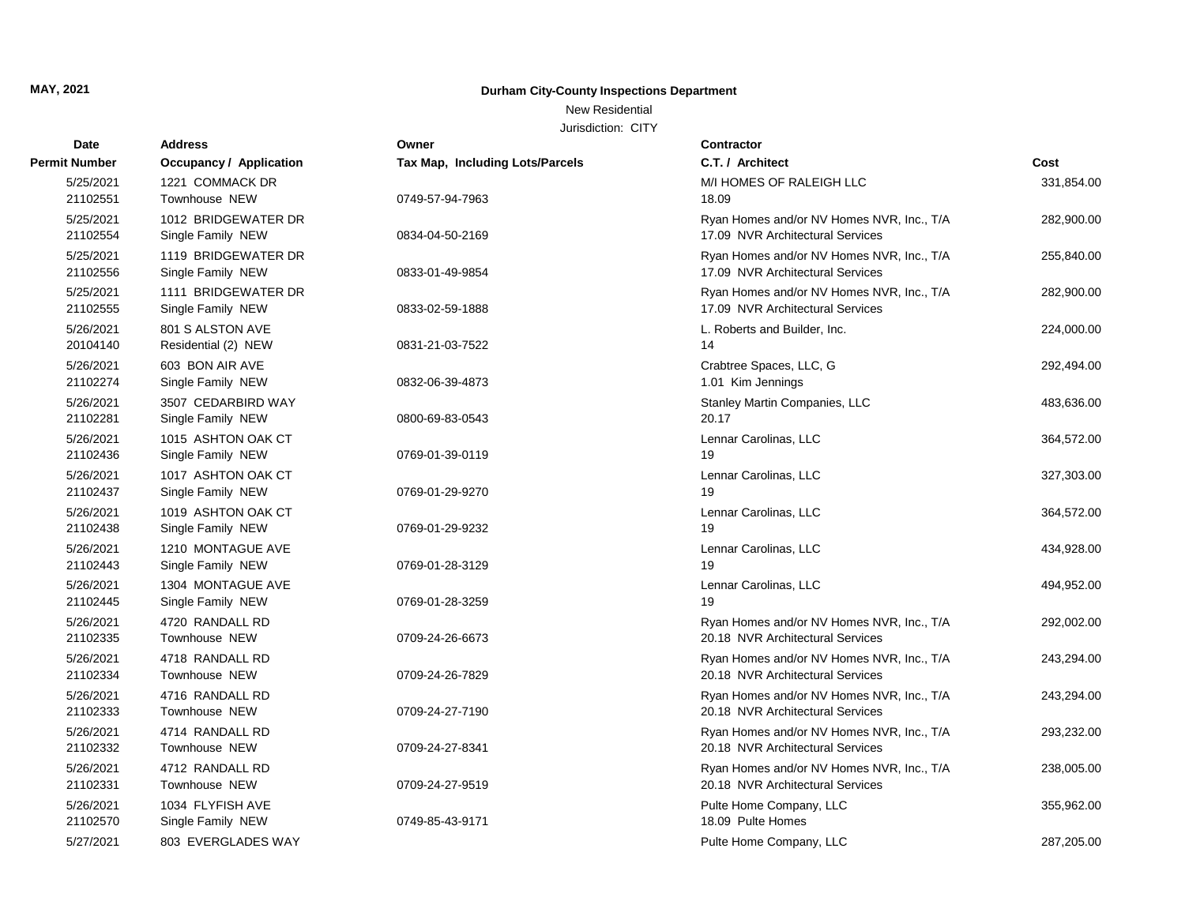## New Residential

| Date                  | <b>Address</b>                           | Owner                           | Contractor                                                                    |            |
|-----------------------|------------------------------------------|---------------------------------|-------------------------------------------------------------------------------|------------|
| <b>Permit Number</b>  | <b>Occupancy / Application</b>           | Tax Map, Including Lots/Parcels | C.T. / Architect                                                              | Cost       |
| 5/25/2021<br>21102551 | 1221 COMMACK DR<br>Townhouse NEW         | 0749-57-94-7963                 | M/I HOMES OF RALEIGH LLC<br>18.09                                             | 331,854.00 |
| 5/25/2021<br>21102554 | 1012 BRIDGEWATER DR<br>Single Family NEW | 0834-04-50-2169                 | Ryan Homes and/or NV Homes NVR, Inc., T/A<br>17.09 NVR Architectural Services | 282,900.00 |
| 5/25/2021<br>21102556 | 1119 BRIDGEWATER DR<br>Single Family NEW | 0833-01-49-9854                 | Ryan Homes and/or NV Homes NVR, Inc., T/A<br>17.09 NVR Architectural Services | 255,840.00 |
| 5/25/2021<br>21102555 | 1111 BRIDGEWATER DR<br>Single Family NEW | 0833-02-59-1888                 | Ryan Homes and/or NV Homes NVR, Inc., T/A<br>17.09 NVR Architectural Services | 282,900.00 |
| 5/26/2021<br>20104140 | 801 S ALSTON AVE<br>Residential (2) NEW  | 0831-21-03-7522                 | L. Roberts and Builder, Inc.<br>14                                            | 224,000.00 |
| 5/26/2021<br>21102274 | 603 BON AIR AVE<br>Single Family NEW     | 0832-06-39-4873                 | Crabtree Spaces, LLC, G<br>1.01 Kim Jennings                                  | 292,494.00 |
| 5/26/2021<br>21102281 | 3507 CEDARBIRD WAY<br>Single Family NEW  | 0800-69-83-0543                 | Stanley Martin Companies, LLC<br>20.17                                        | 483,636.00 |
| 5/26/2021<br>21102436 | 1015 ASHTON OAK CT<br>Single Family NEW  | 0769-01-39-0119                 | Lennar Carolinas, LLC<br>19                                                   | 364,572.00 |
| 5/26/2021<br>21102437 | 1017 ASHTON OAK CT<br>Single Family NEW  | 0769-01-29-9270                 | Lennar Carolinas, LLC<br>19                                                   | 327,303.00 |
| 5/26/2021<br>21102438 | 1019 ASHTON OAK CT<br>Single Family NEW  | 0769-01-29-9232                 | Lennar Carolinas, LLC<br>19                                                   | 364,572.00 |
| 5/26/2021<br>21102443 | 1210 MONTAGUE AVE<br>Single Family NEW   | 0769-01-28-3129                 | Lennar Carolinas, LLC<br>19                                                   | 434,928.00 |
| 5/26/2021<br>21102445 | 1304 MONTAGUE AVE<br>Single Family NEW   | 0769-01-28-3259                 | Lennar Carolinas, LLC<br>19                                                   | 494,952.00 |
| 5/26/2021<br>21102335 | 4720 RANDALL RD<br>Townhouse NEW         | 0709-24-26-6673                 | Ryan Homes and/or NV Homes NVR, Inc., T/A<br>20.18 NVR Architectural Services | 292,002.00 |
| 5/26/2021<br>21102334 | 4718 RANDALL RD<br>Townhouse NEW         | 0709-24-26-7829                 | Ryan Homes and/or NV Homes NVR, Inc., T/A<br>20.18 NVR Architectural Services | 243,294.00 |
| 5/26/2021<br>21102333 | 4716 RANDALL RD<br><b>Townhouse NEW</b>  | 0709-24-27-7190                 | Ryan Homes and/or NV Homes NVR, Inc., T/A<br>20.18 NVR Architectural Services | 243,294.00 |
| 5/26/2021<br>21102332 | 4714 RANDALL RD<br><b>Townhouse NEW</b>  | 0709-24-27-8341                 | Ryan Homes and/or NV Homes NVR, Inc., T/A<br>20.18 NVR Architectural Services | 293,232.00 |
| 5/26/2021<br>21102331 | 4712 RANDALL RD<br>Townhouse NEW         | 0709-24-27-9519                 | Ryan Homes and/or NV Homes NVR, Inc., T/A<br>20.18 NVR Architectural Services | 238,005.00 |
| 5/26/2021<br>21102570 | 1034 FLYFISH AVE<br>Single Family NEW    | 0749-85-43-9171                 | Pulte Home Company, LLC<br>18.09 Pulte Homes                                  | 355,962.00 |
| 5/27/2021             | 803 EVERGLADES WAY                       |                                 | Pulte Home Company, LLC                                                       | 287,205.00 |